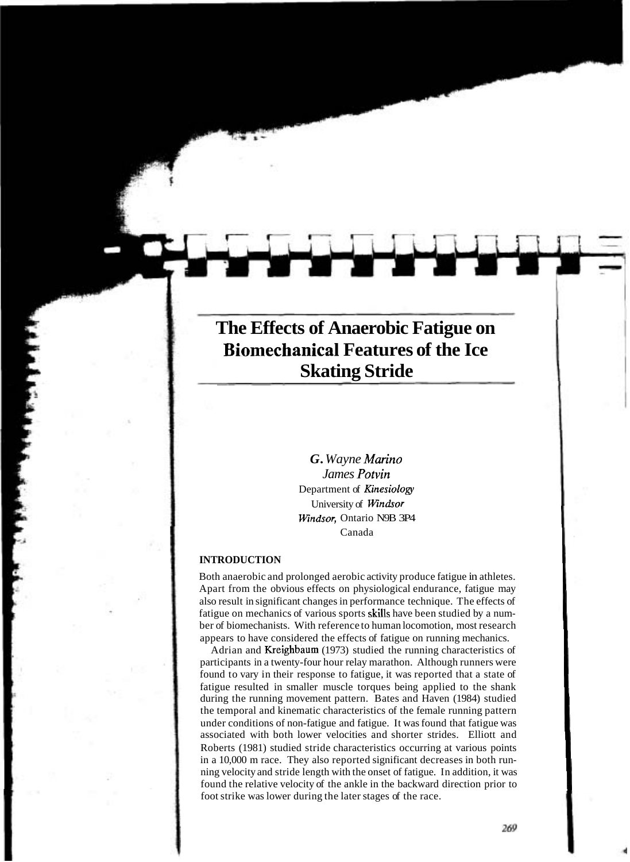# **The Effects of Anaerobic Fatigue on Biomechanical Features of the Ice Skating Stride**

*G. Wayne Man'no James Potvin*  Department of Kinesiology University of Windsor Windsor, Ontario N9B 3P4 Canada

## **INTRODUCTION**

Both anaerobic and prolonged aerobic activity produce fatigue in athletes. Apart from the obvious effects on physiological endurance, fatigue may also result in significant changes in performance technique. The effects of fatigue on mechanics of various sports skills have been studied by a number of biomechanists. With reference to human locomotion, most research appears to have considered the effects of fatigue on running mechanics.

Adrian and Kreighbaum (1973) studied the running characteristics of participants in a twenty-four hour relay marathon. Although runners were found to vary in their response to fatigue, it was reported that a state of fatigue resulted in smaller muscle torques being applied to the shank during the running movement pattern. Bates and Haven (1984) studied the temporal and kinematic characteristics of the female running pattern under conditions of non-fatigue and fatigue. It was found that fatigue was associated with both lower velocities and shorter strides. Elliott and Roberts (1981) studied stride characteristics occurring at various points in a 10,000 m race. They also reported significant decreases in both running velocity and stride length with the onset of fatigue. In addition, it was found the relative velocity of the ankle in the backward direction prior to foot strike was lower during the later stages of the race.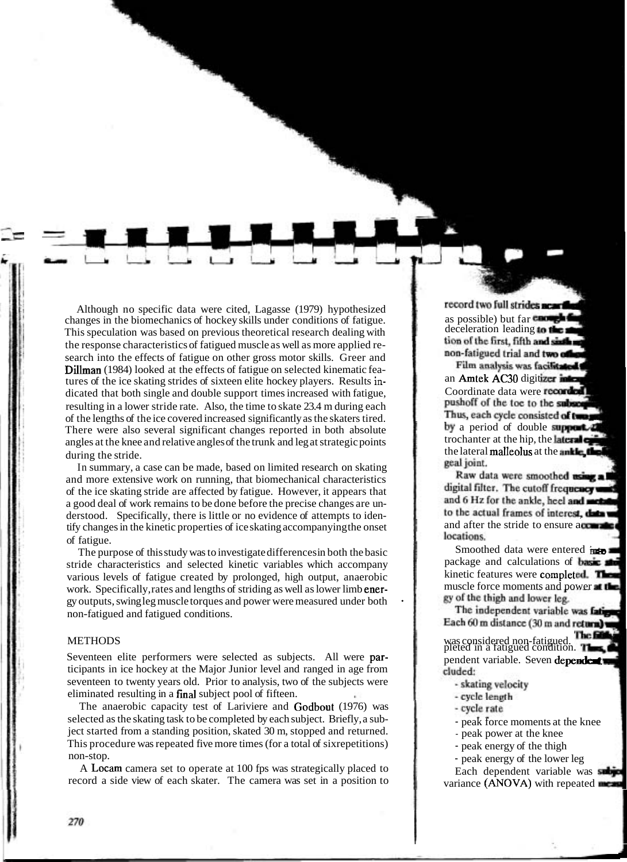Although no specific data were cited, Lagasse (1979) hypothesized changes in the biomechanics of hockey skills under conditions of fatigue. This speculation was based on previous theoretical research dealing with the response characteristics of fatigued muscle as well as more applied research into the effects of fatigue on other gross motor skills. Greer and Dillman (1984) looked at the effects of fatigue on selected kinematic features of the ice skating strides of sixteen elite hockey players. Results indicated that both single and double support times increased with fatigue, resulting in a lower stride rate. Also, the time to skate 23.4 m during each of the lengths of the ice covered increased significantly as the skaters tired. There were also several significant changes reported in both absolute angles at the knee and relative angles of the trunk and leg at strategic points  $\frac{1}{2}$  during the stride.

In summary, a case can be made, based on limited research on skating and more extensive work on running, that biomechanical characteristics of the ice skating stride are affected by fatigue. However, it appears that a good deal of work remains to be done before the precise changes are understood. Specifically, there is little or no evidence of attempts to identify changes in the kinetic properties of ice skating accompanying the onset of fatigue.

The purpose of this study was to investigate differences in both the basic stride characteristics and selected kinetic variables which accompany various levels of fatigue created by prolonged, high output, anaerobic work. Specifically, rates and lengths of striding as well as lower limb energy outputs, swing leg muscle torques and power were measured under both non-fatigued and fatigued conditions.

METHODS<br>Seventeen elite performers were selected as subjects. All were par-<br>ticipants in ice hockey at the Major Junior level and ranged in age from seventeen to twenty years old. Prior to analysis, two of the subjects were eliminated resulting in a final subject pool of fifteen.

The anaerobic capacity test of Lariviere and Godbout (1976) was selected as the skating task to be completed by each subject. Briefly, a subject started from a standing position, skated 30 m, stopped and returned. This procedure was repeated five more times (for a total of sixrepetitions) non-stop.

A Locam camera set to operate at 100 fps was strategically placed to record a side view of each skater. The camera was set in a position to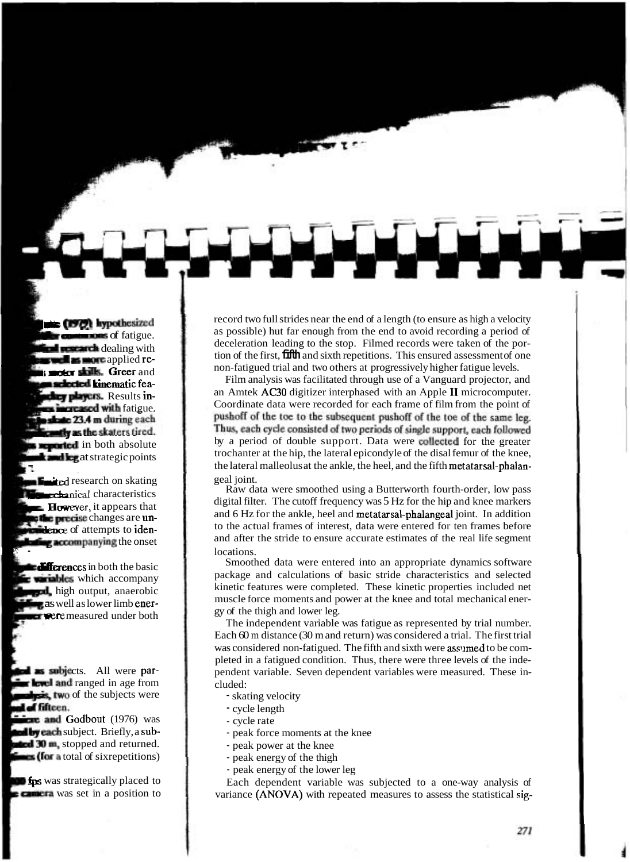record two full strides near the end of a length (to ensure as high a velocity as possible) hut far enough from the end to avoid recording a period of deceleration leading to the stop. Filmed records were taken of the portion of the first, **fifth** and sixth repetitions. This ensured assessment of one non-fatigued trial and two others at progressively higher fatigue levels.

Film analysis was facilitated through use of a Vanguard projector, and an Amtek AC30 digitizer interphased with an Apple I1 microcomputer. Coordinate data were recorded for each frame of film from the point of pushoff of the toe to the subsequent pushoff of the toe of the same leg. Thus, each cycle consisted of two periods of single support, each followed by a period of double support. Data were collected for the greater trochanter at the hip, the lateral epicondyle of the disal femur of the knee, the lateral malleolus at the ankle, the heel, and the fifth metatarsal-phalangeal joint.

Raw data were smoothed using a Butterworth fourth-order, low pass digital filter. The cutoff frequency was 5 Hz for the hip and knee markers and 6 Hz for the ankle, heel and metatarsal-phalangeal joint. In addition to the actual frames of interest, data were entered for ten frames before and after the stride to ensure accurate estimates of the real life segment locations. **P** - locations.

Smoothed data were entered into an appropriate dynamics software package and calculations of basic stride characteristics and selected kinetic features were completed. These kinetic properties included net muscle force moments and power at the knee and total mechanical energy of the thigh and lower leg.

The independent variable was fatigue as represented by trial number. Each 60 m distance (30 m and return) was considered a trial. The first trial was considered non-fatigued. The fifth and sixth were assumed to be completed in a fatigued condition. Thus, there were three levels of the independent variable. Seven dependent variables were measured. These included:

- skating velocity
- cycle length
- cycle rate
- peak force moments at the knee
- peak power at the knee
- peak energy of the thigh
- peak energy of the lower leg

Each dependent variable was subjected to a one-way analysis of variance (ANOVA) with repeated measures to assess the statistical sig-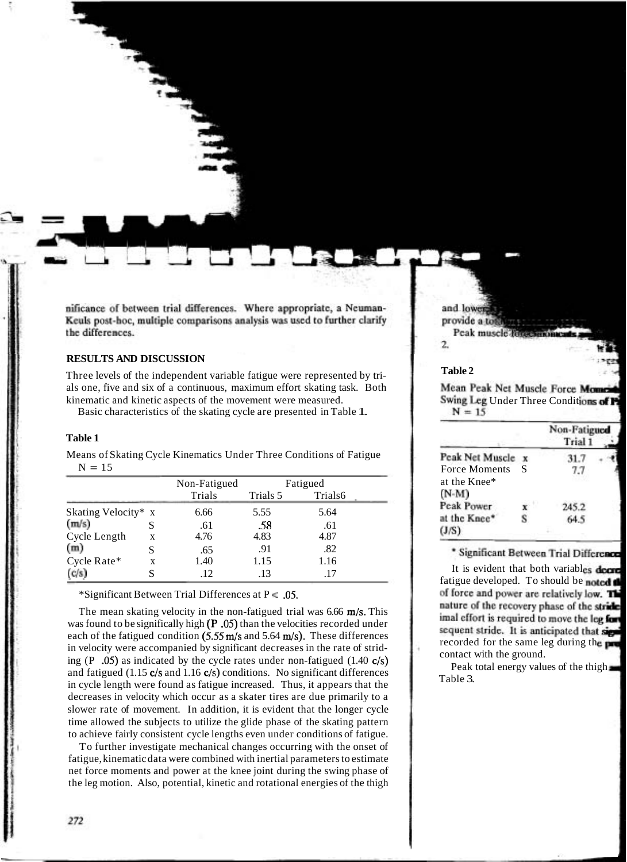nificance of between trial differences. Where appropriate, a Neuman-Keuls post-hoc, multiple comparisons analysis was used to further clarify the differences.

# **RESULTS AND DISCUSSION**

Three levels of the independent variable fatigue were represented by trials one, five and six of a continuous, maximum effort skating task. Both kinematic and kinetic aspects of the movement were measured.

Basic characteristics of the skating cycle are presented in Table 1.

#### **Table 1**

Means of Skating Cycle Kinematics Under Three Conditions of Fatigue  $N = 15$ 

|                     |   | Non-Fatigued |          | Fatigued |
|---------------------|---|--------------|----------|----------|
|                     |   | Trials       | Trials 5 | Trials6  |
| Skating Velocity* x |   | 6.66         | 5.55     | 5.64     |
| (m/s)               |   | .61          | .58      | .61      |
| Cycle Length        | X | 4.76         | 4.83     | 4.87     |
| (m)                 |   | .65          | .91      | .82      |
| Cycle Rate*         | X | 1.40         | 1.15     | 1.16     |
| (c/s)               |   | .12          | .13      |          |

\*Significant Between Trial Differences at  $P \le 0.05$ .

The mean skating velocity in the non-fatigued trial was 6.66 m/s. This was found to be significally high (P.05) than the velocities recorded under each of the fatigued condition  $(5.55 \text{ m/s}$  and  $5.64 \text{ m/s})$ . These differences in velocity were accompanied by significant decreases in the rate of striding  $(P \tcdot .05)$  as indicated by the cycle rates under non-fatigued  $(1.40 \text{ c/s})$ and fatigued (1.15 c/s and 1.16 c/s) conditions. No significant differences in cycle length were found as fatigue increased. Thus, it appears that the decreases in velocity which occur as a skater tires are due primarily to a slower rate of movement. In addition, it is evident that the longer cycle time allowed the subjects to utilize the glide phase of the skating pattern to achieve fairly consistent cycle lengths even under conditions of fatigue.

To further investigate mechanical changes occurring with the onset of fatigue, kinematic data were combined with inertial parameters to estimate net force moments and power at the knee joint during the swing phase of the leg motion. Also, potential, kinetic and rotational energies of the thigh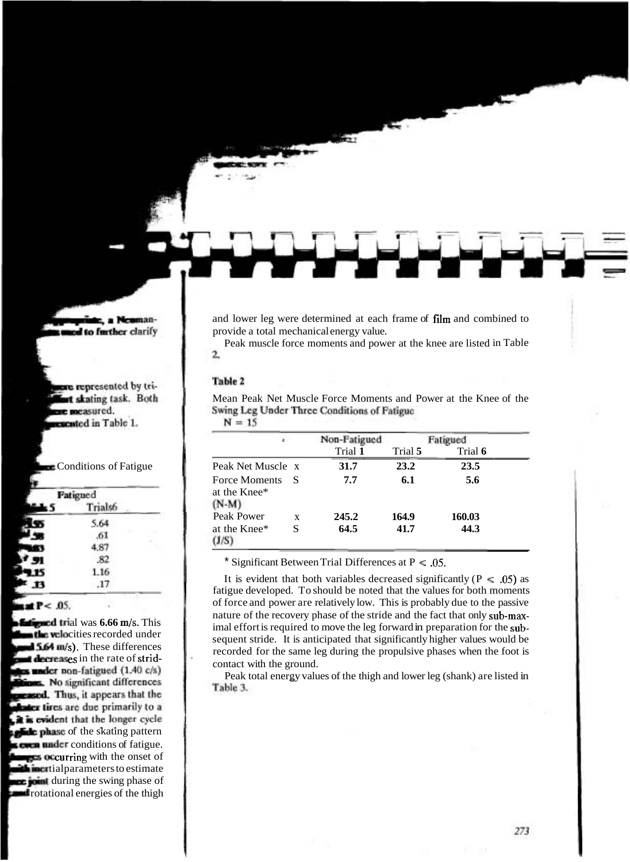and lower leg were determined at each frame of film and combined to provide a total mechanical energy value.

Peak muscle force moments and power at the knee are listed in Table 2.

### Table 2

Mean Peak Net Muscle Force Moments and Power at the Knee of the Swing Leg Under Three Conditions of Fatigue

Non-Fatigued Fatigued a. Trial **1** Trial **5** Trial **6**  Peak Net Muscle x **31.7** 23.2 23.5 Force Moments S **7.7 6.1 5.6**  at the Knee\*  $(N-M)$ Peak Power x 245.2 164.9 160.03<br>at the Knee<sup>\*</sup> S 64.5 41.7 44.3 at the Knee\* S **64.5 41.7 44.3** 

 $N = 15$ 

\* Significant Between Trial Differences at P < **.05.** 

It is evident that both variables decreased significantly ( $P \le 0.05$ ) as fatigue developed. To should be noted that the values for both moments of force and power are relatively low. This is probably due to the passive nature of the recovery phase of the stride and the fact that only sub-maximal effort is required to move the leg forward in preparation for the subsequent stride. It is anticipated that significantly higher values would be recorded for the same leg during the propulsive phases when the foot is contact with the ground.

Peak total energy values of the thigh and lower leg (shank) are listed in Table 3.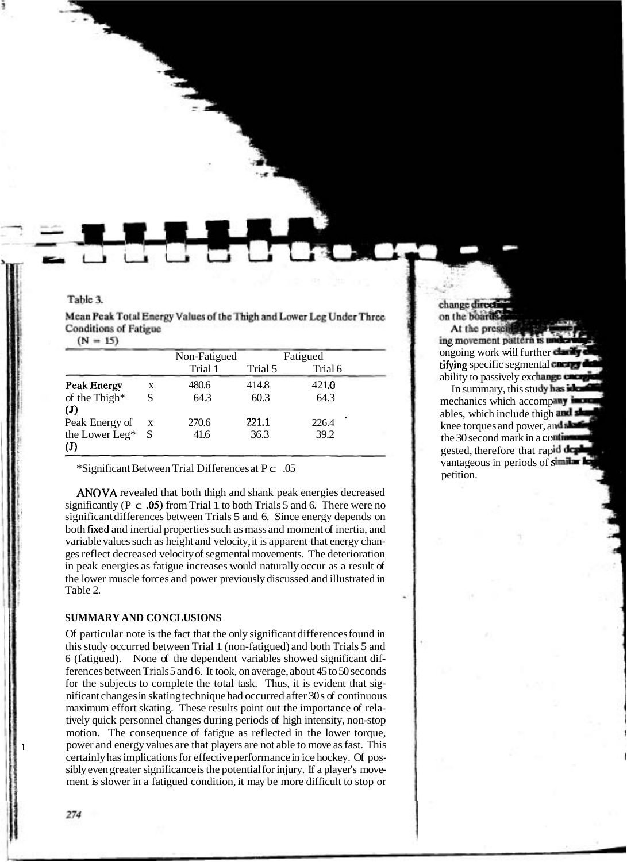Table 3.

| Mean Peak Total Energy Values of the Thigh and Lower Leg Under Three |  |  |
|----------------------------------------------------------------------|--|--|
| Conditions of Fatigue                                                |  |  |
|                                                                      |  |  |

|                                    |   | Non-Fatigued | Fatigued |         |  |
|------------------------------------|---|--------------|----------|---------|--|
|                                    |   | Trial 1      | Trial 5  | Trial 6 |  |
| Peak Energy                        | X | 480.6        | 414.8    | 421.0   |  |
| of the Thigh*<br>$(\mathbf{J})$    | S | 64.3         | 60.3     | 64.3    |  |
| Peak Energy of                     | X | 270.6        | 221.1    | 226.4   |  |
| the Lower Leg* S<br>$(\mathbf{J})$ |   | 41.6         | 36.3     | 39.2    |  |

\*Significant Between Trial Differences at P c .05

ANOVA revealed that both thigh and shank peak energies decreased significantly (P  $\rm c$  .05) from Trial 1 to both Trials 5 and 6. There were no significant differences between Trials 5 and 6. Since energy depends on both fixed and inertial properties such as mass and moment of inertia, and variable values such as height and velocity, it is apparent that energy changes reflect decreased velocity of segmental movements. The deterioration in peak energies as fatigue increases would naturally occur as a result of the lower muscle forces and power previously discussed and illustrated in Table 2.

# **SUMMARY AND CONCLUSIONS**

Of particular note is the fact that the only significant differences found in this study occurred between Trial 1 (non-fatigued) and both Trials 5 and 6 (fatigued). None of the dependent variables showed significant differences between Trials 5 and 6. It took, on average, about 45 to 50 seconds for the subjects to complete the total task. Thus, it is evident that significant changes in skating technique had occurred after 30 s of continuous maximum effort skating. These results point out the importance of relatively quick personnel changes during periods of high intensity, non-stop motion. The consequence of fatigue as reflected in the lower torque, power and energy values are that players are not able to move as fast. This certainly has implications for effective performance in ice hockey. Of possibly even greater significance is the potential for injury. If a player's movement is slower in a fatigued condition, it may be more difficult to stop or